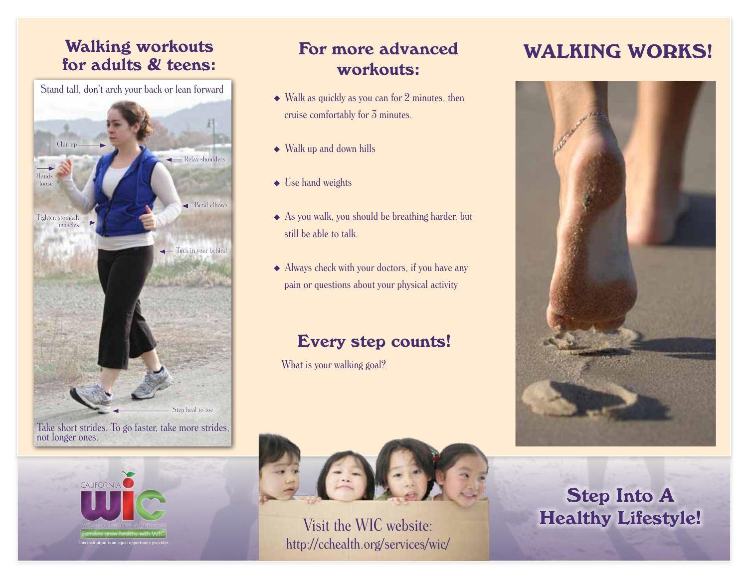# Walking workouts<br>for adults & teens:<br>workouts:<br>workouts:

← Bend elbows Tuck in your behind Chin up stomach muscles Hands loose Step heal to toe Relax shoulders Stand tall, don't arch your back or lean forward Take short strides. To go faster, take more strides,



not longer ones.

## For more advanced workouts:

- Walk as quickly as you can for 2 minutes, then cruise comfortably for 3 minutes.
- Walk up and down hills
- ◆ Use hand weights
- As you walk, you should be breathing harder, but still be able to talk.
- Always check with your doctors, if you have any pain or questions about your physical activity

# Every step counts!

What is your walking goal?



Visit the WIC website: http://cchealth.org/services/wic/



Step Into A Healthy Lifestyle!